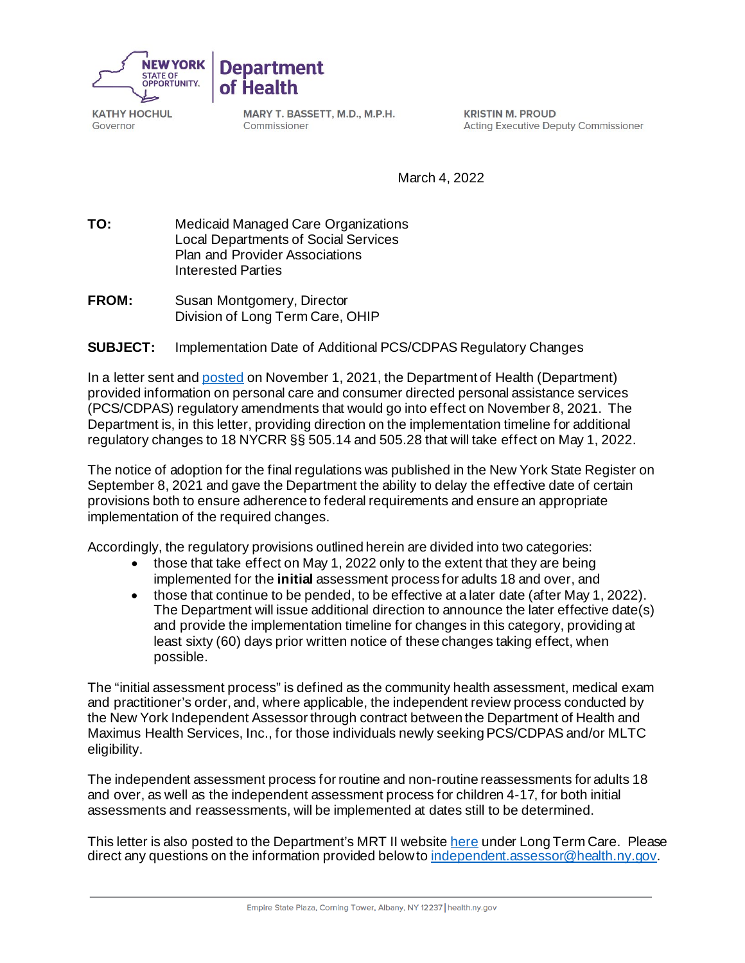

**KATHY HOCHUL** Governor

MARY T. BASSETT, M.D., M.P.H. Commissioner

**Department** 

of Health

**KRISTIN M. PROUD Acting Executive Deputy Commissioner** 

March 4, 2022

**TO:** Medicaid Managed Care Organizations Local Departments of Social Services Plan and Provider Associations Interested Parties

**FROM:** Susan Montgomery, Director Division of Long Term Care, OHIP

## **SUBJECT:** Implementation Date of Additional PCS/CDPAS Regulatory Changes

In a letter sent and [posted](https://www.health.ny.gov/health_care/medicaid/redesign/mrt2/recommends/docs/pcs-cdpas_reg_chg.pdf) on November 1, 2021, the Department of Health (Department) provided information on personal care and consumer directed personal assistance services (PCS/CDPAS) regulatory amendments that would go into effect on November 8, 2021. The Department is, in this letter, providing direction on the implementation timeline for additional regulatory changes to 18 NYCRR §§ 505.14 and 505.28 that will take effect on May 1, 2022.

The notice of adoption for the final regulations was published in the New York State Register on September 8, 2021 and gave the Department the ability to delay the effective date of certain provisions both to ensure adherence to federal requirements and ensure an appropriate implementation of the required changes.

Accordingly, the regulatory provisions outlined herein are divided into two categories:

- those that take effect on May 1, 2022 only to the extent that they are being implemented for the **initial** assessment process for adults 18 and over, and
- those that continue to be pended, to be effective at a later date (after May 1, 2022). The Department will issue additional direction to announce the later effective date(s) and provide the implementation timeline for changes in this category, providing at least sixty (60) days prior written notice of these changes taking effect, when possible.

The "initial assessment process" is defined as the community health assessment, medical exam and practitioner's order, and, where applicable, the independent review process conducted by the New York Independent Assessor through contract between the Department of Health and Maximus Health Services, Inc., for those individuals newly seeking PCS/CDPAS and/or MLTC eligibility.

The independent assessment process for routine and non-routine reassessments for adults 18 and over, as well as the independent assessment process for children 4-17, for both initial assessments and reassessments, will be implemented at dates still to be determined.

This letter is also posted to the Department's MRT II websit[e here](https://www.health.ny.gov/health_care/medicaid/redesign/mrt2/recommends/index.htm) under Long Term Care. Please direct any questions on the information provided below t[o independent.assessor@health.ny.gov](mailto:independent.assessor@health.ny.gov).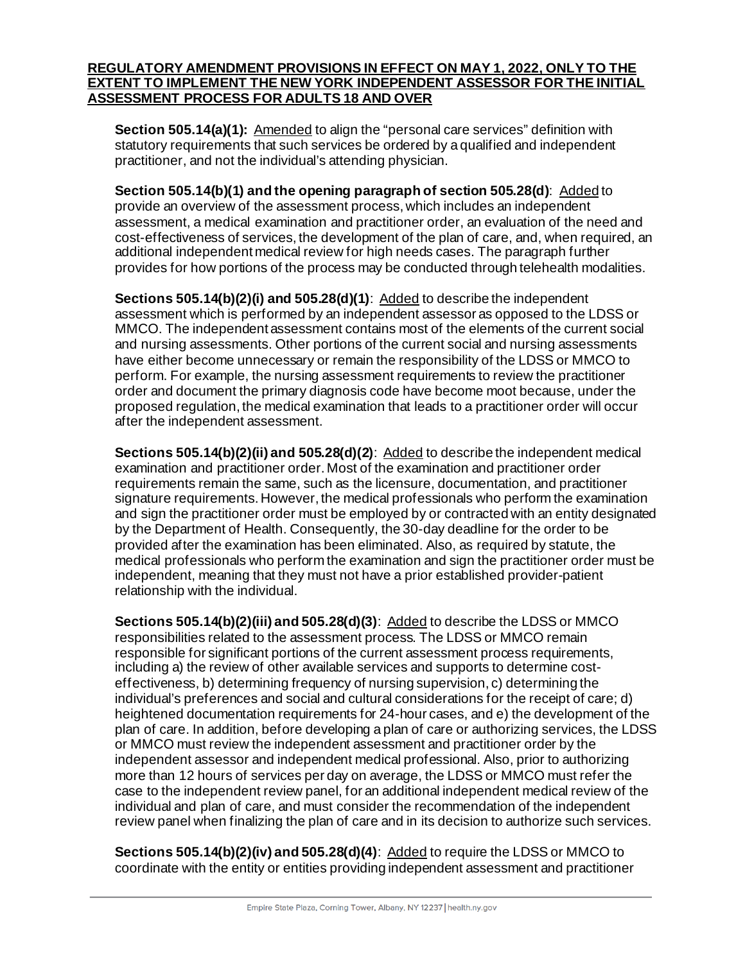## **REGULATORY AMENDMENT PROVISIONS IN EFFECT ON MAY 1, 2022, ONLY TO THE EXTENT TO IMPLEMENT THE NEW YORK INDEPENDENT ASSESSOR FOR THE INITIAL ASSESSMENT PROCESS FOR ADULTS 18 AND OVER**

**Section 505.14(a)(1):** Amended to align the "personal care services" definition with statutory requirements that such services be ordered by a qualified and independent practitioner, and not the individual's attending physician.

**Section 505.14(b)(1) and the opening paragraph of section 505.28(d)**: Added to provide an overview of the assessment process, which includes an independent assessment, a medical examination and practitioner order, an evaluation of the need and cost-effectiveness of services, the development of the plan of care, and, when required, an additional independent medical review for high needs cases. The paragraph further provides for how portions of the process may be conducted through telehealth modalities.

**Sections 505.14(b)(2)(i) and 505.28(d)(1)**: Added to describe the independent assessment which is performed by an independent assessor as opposed to the LDSS or MMCO. The independent assessment contains most of the elements of the current social and nursing assessments. Other portions of the current social and nursing assessments have either become unnecessary or remain the responsibility of the LDSS or MMCO to perform. For example, the nursing assessment requirements to review the practitioner order and document the primary diagnosis code have become moot because, under the proposed regulation, the medical examination that leads to a practitioner order will occur after the independent assessment.

**Sections 505.14(b)(2)(ii) and 505.28(d)(2)**: Added to describe the independent medical examination and practitioner order. Most of the examination and practitioner order requirements remain the same, such as the licensure, documentation, and practitioner signature requirements. However, the medical professionals who perform the examination and sign the practitioner order must be employed by or contracted with an entity designated by the Department of Health. Consequently, the 30-day deadline for the order to be provided after the examination has been eliminated. Also, as required by statute, the medical professionals who perform the examination and sign the practitioner order must be independent, meaning that they must not have a prior established provider-patient relationship with the individual.

**Sections 505.14(b)(2)(iii) and 505.28(d)(3)**: Added to describe the LDSS or MMCO responsibilities related to the assessment process. The LDSS or MMCO remain responsible for significant portions of the current assessment process requirements, including a) the review of other available services and supports to determine costeffectiveness, b) determining frequency of nursing supervision, c) determining the individual's preferences and social and cultural considerations for the receipt of care; d) heightened documentation requirements for 24-hour cases, and e) the development of the plan of care. In addition, before developing a plan of care or authorizing services, the LDSS or MMCO must review the independent assessment and practitioner order by the independent assessor and independent medical professional. Also, prior to authorizing more than 12 hours of services per day on average, the LDSS or MMCO must refer the case to the independent review panel, for an additional independent medical review of the individual and plan of care, and must consider the recommendation of the independent review panel when finalizing the plan of care and in its decision to authorize such services.

**Sections 505.14(b)(2)(iv) and 505.28(d)(4)**: Added to require the LDSS or MMCO to coordinate with the entity or entities providing independent assessment and practitioner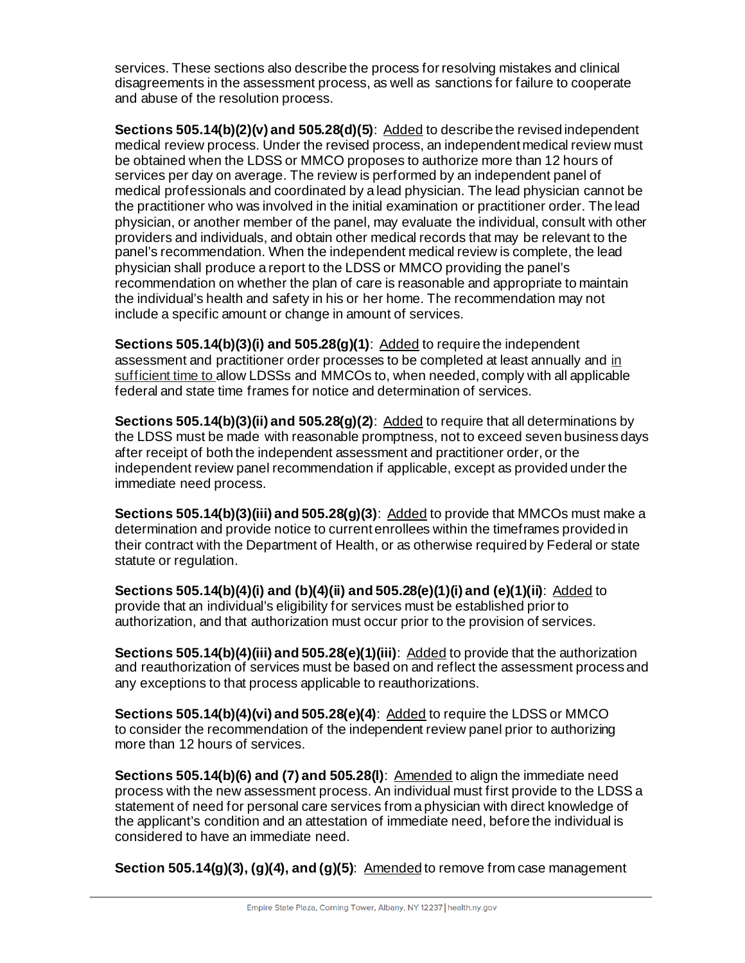services. These sections also describe the process for resolving mistakes and clinical disagreements in the assessment process, as well as sanctions for failure to cooperate and abuse of the resolution process.

**Sections 505.14(b)(2)(v) and 505.28(d)(5)**: Added to describe the revised independent medical review process. Under the revised process, an independent medical review must be obtained when the LDSS or MMCO proposes to authorize more than 12 hours of services per day on average. The review is performed by an independent panel of medical professionals and coordinated by a lead physician. The lead physician cannot be the practitioner who was involved in the initial examination or practitioner order. The lead physician, or another member of the panel, may evaluate the individual, consult with other providers and individuals, and obtain other medical records that may be relevant to the panel's recommendation. When the independent medical review is complete, the lead physician shall produce a report to the LDSS or MMCO providing the panel's recommendation on whether the plan of care is reasonable and appropriate to maintain the individual's health and safety in his or her home. The recommendation may not include a specific amount or change in amount of services.

**Sections 505.14(b)(3)(i) and 505.28(g)(1)**: Added to require the independent assessment and practitioner order processes to be completed at least annually and in sufficient time to allow LDSSs and MMCOs to, when needed, comply with all applicable federal and state time frames for notice and determination of services.

**Sections 505.14(b)(3)(ii) and 505.28(g)(2):** Added to require that all determinations by the LDSS must be made with reasonable promptness, not to exceed seven business days after receipt of both the independent assessment and practitioner order, or the independent review panel recommendation if applicable, except as provided under the immediate need process.

**Sections 505.14(b)(3)(iii) and 505.28(g)(3):** Added to provide that MMCOs must make a determination and provide notice to current enrollees within the timeframes provided in their contract with the Department of Health, or as otherwise required by Federal or state statute or regulation.

**Sections 505.14(b)(4)(i) and (b)(4)(ii) and 505.28(e)(1)(i) and (e)(1)(ii)**: Added to provide that an individual's eligibility for services must be established prior to authorization, and that authorization must occur prior to the provision of services.

**Sections 505.14(b)(4)(iii) and 505.28(e)(1)(iii)**: Added to provide that the authorization and reauthorization of services must be based on and reflect the assessment process and any exceptions to that process applicable to reauthorizations.

**Sections 505.14(b)(4)(vi) and 505.28(e)(4)**: Added to require the LDSS or MMCO to consider the recommendation of the independent review panel prior to authorizing more than 12 hours of services.

**Sections 505.14(b)(6) and (7) and 505.28(I):** Amended to align the immediate need process with the new assessment process. An individual must first provide to the LDSS a statement of need for personal care services from a physician with direct knowledge of the applicant's condition and an attestation of immediate need, before the individual is considered to have an immediate need.

**Section 505.14(g)(3), (g)(4), and (g)(5):** Amended to remove from case management